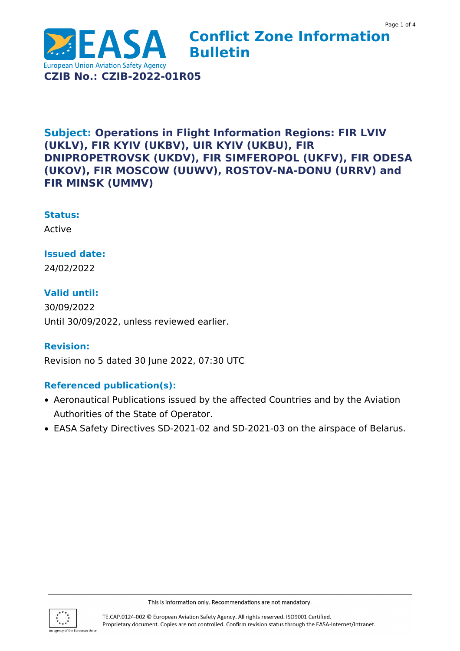

# **Subject: Operations in Flight Information Regions: FIR LVIV (UKLV), FIR KYIV (UKBV), UIR KYIV (UKBU), FIR DNIPROPETROVSK (UKDV), FIR SIMFEROPOL (UKFV), FIR ODESA (UKOV), FIR MOSCOW (UUWV), ROSTOV-NA-DONU (URRV) and FIR MINSK (UMMV)**

#### **Status:**

Active

### **Issued date:**

24/02/2022

# **Valid until:**

30/09/2022 Until 30/09/2022, unless reviewed earlier.

#### **Revision:**

Revision no 5 dated 30 June 2022, 07:30 UTC

# **Referenced publication(s):**

- Aeronautical Publications issued by the affected Countries and by the Aviation Authorities of the State of Operator.
- EASA Safety Directives SD-2021-02 and SD-2021-03 on the airspace of Belarus.

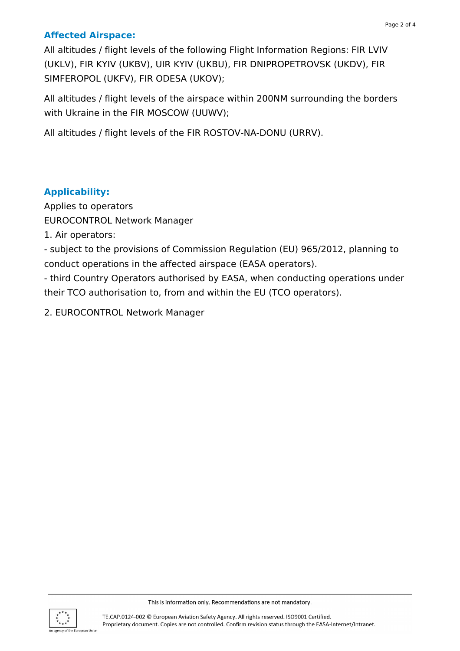# **Affected Airspace:**

All altitudes / flight levels of the following Flight Information Regions: FIR LVIV (UKLV), FIR KYIV (UKBV), UIR KYIV (UKBU), FIR DNIPROPETROVSK (UKDV), FIR SIMFEROPOL (UKFV), FIR ODESA (UKOV);

All altitudes / flight levels of the airspace within 200NM surrounding the borders with Ukraine in the FIR MOSCOW (UUWV);

All altitudes / flight levels of the FIR ROSTOV-NA-DONU (URRV).

# **Applicability:**

Applies to operators EUROCONTROL Network Manager

1. Air operators:

- subject to the provisions of Commission Regulation (EU) 965/2012, planning to conduct operations in the affected airspace (EASA operators).

- third Country Operators authorised by EASA, when conducting operations under their TCO authorisation to, from and within the EU (TCO operators).

2. EUROCONTROL Network Manager

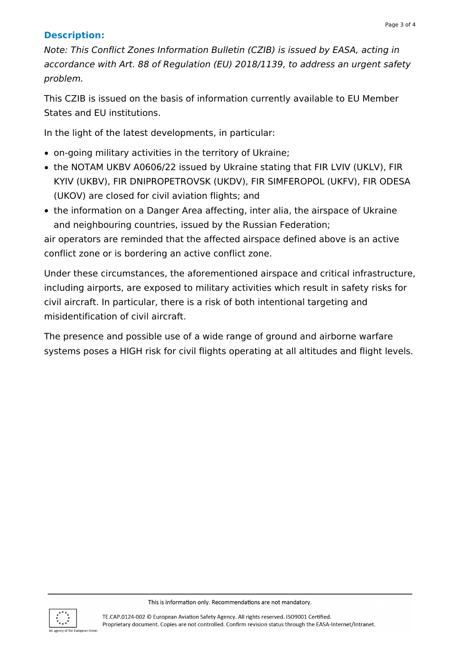# **Description:**

Note: This Conflict Zones Information Bulletin (CZIB) is issued by EASA, acting in accordance with Art. 88 of Regulation (EU) 2018/1139, to address an urgent safety problem.

This CZIB is issued on the basis of information currently available to EU Member States and EU institutions.

In the light of the latest developments, in particular:

- on-going military activities in the territory of Ukraine;
- the NOTAM UKBV A0606/22 issued by Ukraine stating that FIR LVIV (UKLV), FIR KYIV (UKBV), FIR DNIPROPETROVSK (UKDV), FIR SIMFEROPOL (UKFV), FIR ODESA (UKOV) are closed for civil aviation flights; and
- the information on a Danger Area affecting, inter alia, the airspace of Ukraine and neighbouring countries, issued by the Russian Federation;

air operators are reminded that the affected airspace defined above is an active conflict zone or is bordering an active conflict zone.

Under these circumstances, the aforementioned airspace and critical infrastructure, including airports, are exposed to military activities which result in safety risks for civil aircraft. In particular, there is a risk of both intentional targeting and misidentification of civil aircraft.

The presence and possible use of a wide range of ground and airborne warfare systems poses a HIGH risk for civil flights operating at all altitudes and flight levels.